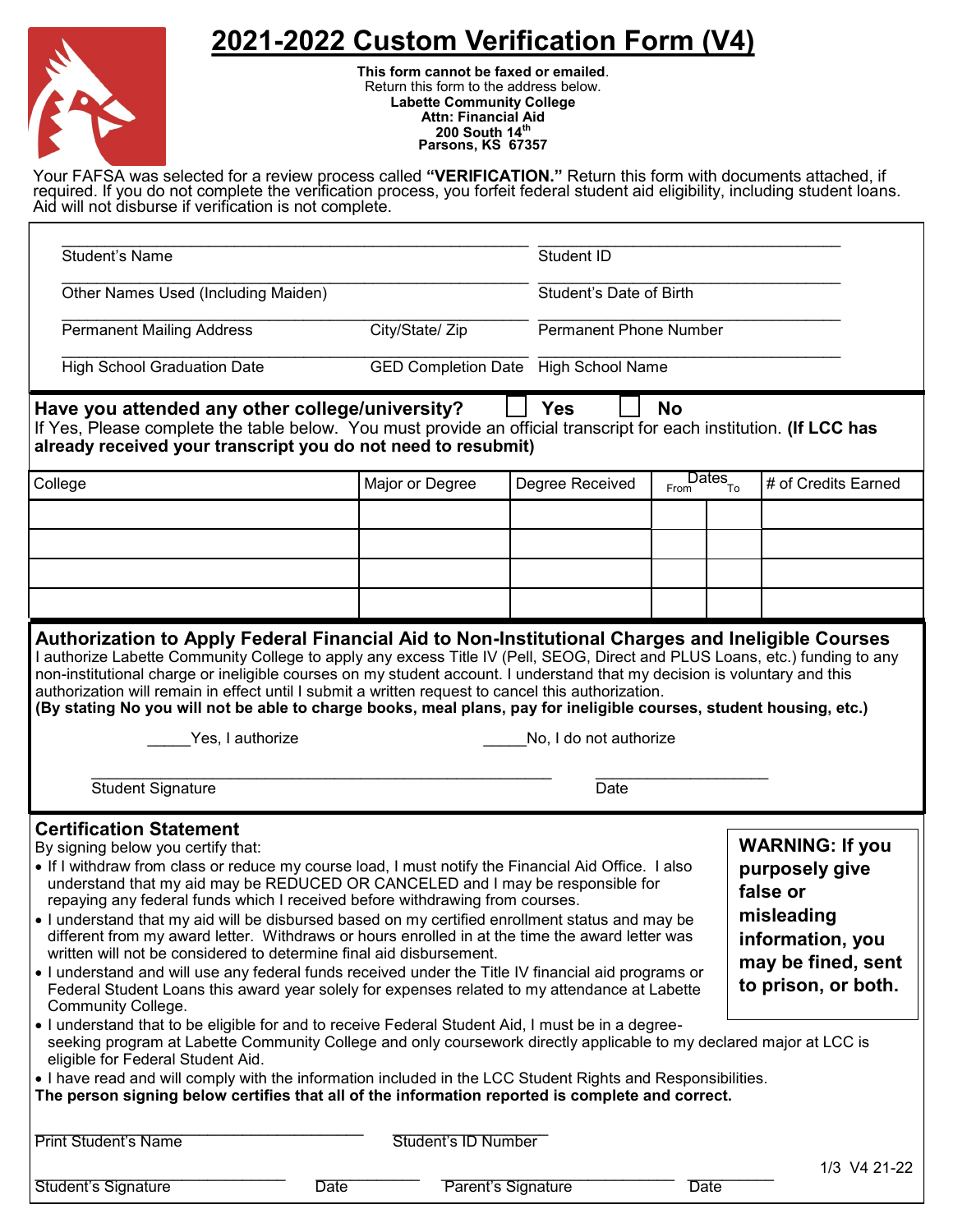## **2021-2022 Custom Verification Form (V4)**



**This form cannot be faxed or emailed**. Return this form to the address below. **Labette Community College Attn: Financial Aid 200 South 14th Parsons, KS 67357**

Your FAFSA was selected for a review process called **"VERIFICATION."** Return this form with documents attached, if required. If you do not complete the verification process, you forfeit federal student aid eligibility, including student loans. Aid will not disburse if verification is not complete.

| <b>Student's Name</b>                                                                                                                                                                                                                                                                                                                                                                                                                                                                                                                                                                                                                                                                                                                                                                                                                                                                                                                                                                                                                                                                                                                                                                                                                                                                                                                                                                                                                                                               |                                             |                     |                 | Student ID                    |             |                                       |                     |  |
|-------------------------------------------------------------------------------------------------------------------------------------------------------------------------------------------------------------------------------------------------------------------------------------------------------------------------------------------------------------------------------------------------------------------------------------------------------------------------------------------------------------------------------------------------------------------------------------------------------------------------------------------------------------------------------------------------------------------------------------------------------------------------------------------------------------------------------------------------------------------------------------------------------------------------------------------------------------------------------------------------------------------------------------------------------------------------------------------------------------------------------------------------------------------------------------------------------------------------------------------------------------------------------------------------------------------------------------------------------------------------------------------------------------------------------------------------------------------------------------|---------------------------------------------|---------------------|-----------------|-------------------------------|-------------|---------------------------------------|---------------------|--|
| Other Names Used (Including Maiden)                                                                                                                                                                                                                                                                                                                                                                                                                                                                                                                                                                                                                                                                                                                                                                                                                                                                                                                                                                                                                                                                                                                                                                                                                                                                                                                                                                                                                                                 |                                             |                     |                 | Student's Date of Birth       |             |                                       |                     |  |
| <b>Permanent Mailing Address</b>                                                                                                                                                                                                                                                                                                                                                                                                                                                                                                                                                                                                                                                                                                                                                                                                                                                                                                                                                                                                                                                                                                                                                                                                                                                                                                                                                                                                                                                    | City/State/ Zip                             |                     |                 | <b>Permanent Phone Number</b> |             |                                       |                     |  |
| <b>High School Graduation Date</b>                                                                                                                                                                                                                                                                                                                                                                                                                                                                                                                                                                                                                                                                                                                                                                                                                                                                                                                                                                                                                                                                                                                                                                                                                                                                                                                                                                                                                                                  | <b>GED Completion Date</b> High School Name |                     |                 |                               |             |                                       |                     |  |
| <b>Yes</b><br>Have you attended any other college/university?<br><b>No</b><br>If Yes, Please complete the table below. You must provide an official transcript for each institution. (If LCC has<br>already received your transcript you do not need to resubmit)                                                                                                                                                                                                                                                                                                                                                                                                                                                                                                                                                                                                                                                                                                                                                                                                                                                                                                                                                                                                                                                                                                                                                                                                                   |                                             |                     |                 |                               |             |                                       |                     |  |
| College                                                                                                                                                                                                                                                                                                                                                                                                                                                                                                                                                                                                                                                                                                                                                                                                                                                                                                                                                                                                                                                                                                                                                                                                                                                                                                                                                                                                                                                                             |                                             | Major or Degree     | Degree Received |                               | From        | $\overline{\text{Dates}}_{\text{To}}$ | # of Credits Earned |  |
|                                                                                                                                                                                                                                                                                                                                                                                                                                                                                                                                                                                                                                                                                                                                                                                                                                                                                                                                                                                                                                                                                                                                                                                                                                                                                                                                                                                                                                                                                     |                                             |                     |                 |                               |             |                                       |                     |  |
|                                                                                                                                                                                                                                                                                                                                                                                                                                                                                                                                                                                                                                                                                                                                                                                                                                                                                                                                                                                                                                                                                                                                                                                                                                                                                                                                                                                                                                                                                     |                                             |                     |                 |                               |             |                                       |                     |  |
|                                                                                                                                                                                                                                                                                                                                                                                                                                                                                                                                                                                                                                                                                                                                                                                                                                                                                                                                                                                                                                                                                                                                                                                                                                                                                                                                                                                                                                                                                     |                                             |                     |                 |                               |             |                                       |                     |  |
|                                                                                                                                                                                                                                                                                                                                                                                                                                                                                                                                                                                                                                                                                                                                                                                                                                                                                                                                                                                                                                                                                                                                                                                                                                                                                                                                                                                                                                                                                     |                                             |                     |                 |                               |             |                                       |                     |  |
| I authorize Labette Community College to apply any excess Title IV (Pell, SEOG, Direct and PLUS Loans, etc.) funding to any<br>non-institutional charge or ineligible courses on my student account. I understand that my decision is voluntary and this<br>authorization will remain in effect until I submit a written request to cancel this authorization.<br>(By stating No you will not be able to charge books, meal plans, pay for ineligible courses, student housing, etc.)<br>Yes, I authorize<br>No, I do not authorize<br><b>Student Signature</b><br>Date                                                                                                                                                                                                                                                                                                                                                                                                                                                                                                                                                                                                                                                                                                                                                                                                                                                                                                             |                                             |                     |                 |                               |             |                                       |                     |  |
| <b>Certification Statement</b><br><b>WARNING: If you</b><br>By signing below you certify that:<br>. If I withdraw from class or reduce my course load, I must notify the Financial Aid Office. I also<br>purposely give<br>understand that my aid may be REDUCED OR CANCELED and I may be responsible for<br>false or<br>repaying any federal funds which I received before withdrawing from courses.<br>misleading<br>. I understand that my aid will be disbursed based on my certified enrollment status and may be<br>different from my award letter. Withdraws or hours enrolled in at the time the award letter was<br>information, you<br>written will not be considered to determine final aid disbursement.<br>may be fined, sent<br>• I understand and will use any federal funds received under the Title IV financial aid programs or<br>to prison, or both.<br>Federal Student Loans this award year solely for expenses related to my attendance at Labette<br>Community College.<br>. I understand that to be eligible for and to receive Federal Student Aid, I must be in a degree-<br>seeking program at Labette Community College and only coursework directly applicable to my declared major at LCC is<br>eligible for Federal Student Aid.<br>. I have read and will comply with the information included in the LCC Student Rights and Responsibilities.<br>The person signing below certifies that all of the information reported is complete and correct. |                                             |                     |                 |                               |             |                                       |                     |  |
| <b>Print Student's Name</b>                                                                                                                                                                                                                                                                                                                                                                                                                                                                                                                                                                                                                                                                                                                                                                                                                                                                                                                                                                                                                                                                                                                                                                                                                                                                                                                                                                                                                                                         |                                             | Student's ID Number |                 |                               |             |                                       |                     |  |
| Student's Signature                                                                                                                                                                                                                                                                                                                                                                                                                                                                                                                                                                                                                                                                                                                                                                                                                                                                                                                                                                                                                                                                                                                                                                                                                                                                                                                                                                                                                                                                 | <b>Date</b>                                 | Parent's Signature  |                 |                               | <b>Date</b> |                                       | 1/3 V4 21-22        |  |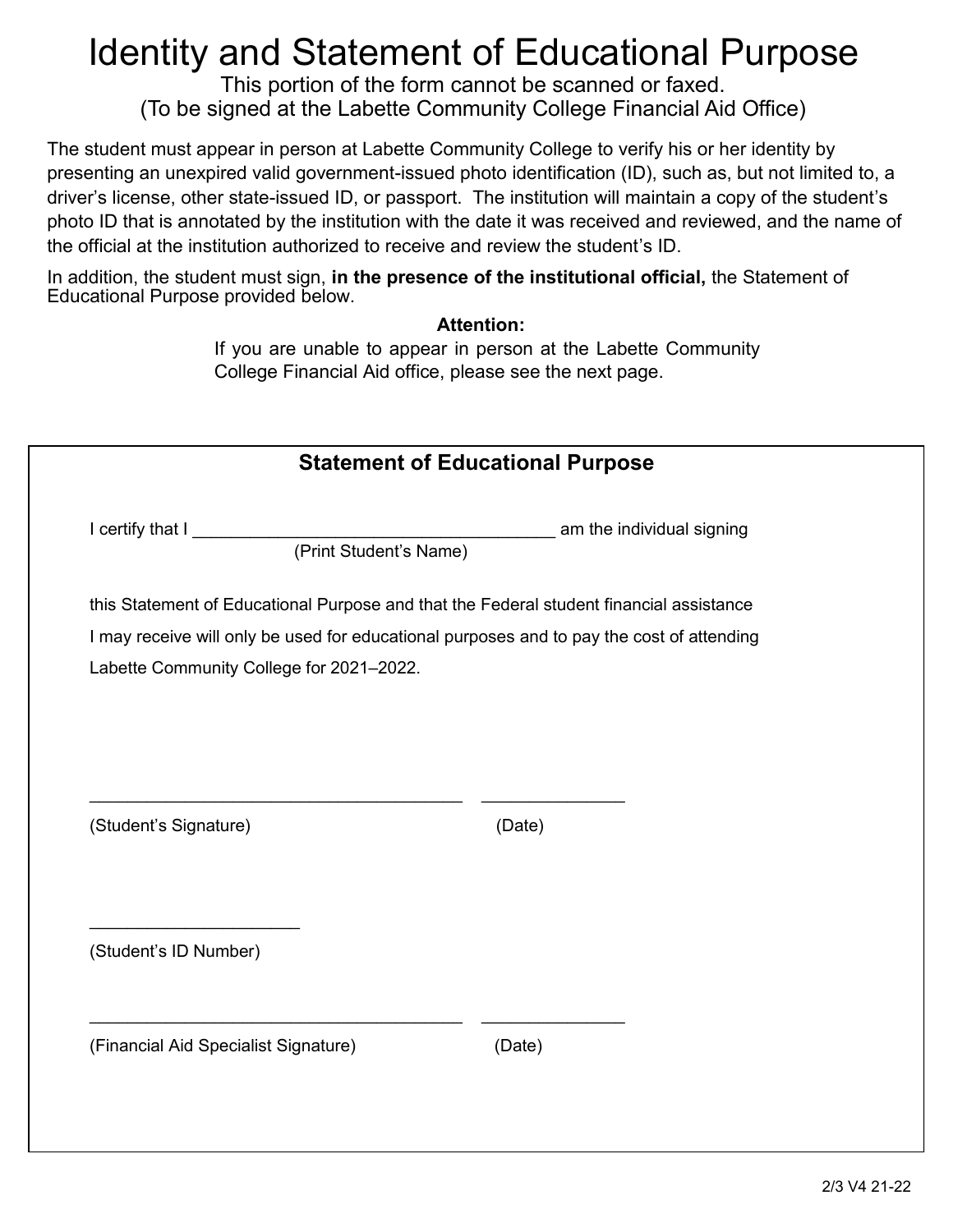## Identity and Statement of Educational Purpose

This portion of the form cannot be scanned or faxed. (To be signed at the Labette Community College Financial Aid Office)

The student must appear in person at Labette Community College to verify his or her identity by presenting an unexpired valid government-issued photo identification (ID), such as, but not limited to, a driver's license, other state-issued ID, or passport. The institution will maintain a copy of the student's photo ID that is annotated by the institution with the date it was received and reviewed, and the name of the official at the institution authorized to receive and review the student's ID.

In addition, the student must sign, **in the presence of the institutional official,** the Statement of Educational Purpose provided below.

## **Attention:**

If you are unable to appear in person at the Labette Community College Financial Aid office, please see the next page.

| <b>Statement of Educational Purpose</b>                                                                                               |        |  |  |  |
|---------------------------------------------------------------------------------------------------------------------------------------|--------|--|--|--|
| I certify that I<br>am the individual signing<br>(Print Student's Name)                                                               |        |  |  |  |
| this Statement of Educational Purpose and that the Federal student financial assistance                                               |        |  |  |  |
| I may receive will only be used for educational purposes and to pay the cost of attending<br>Labette Community College for 2021-2022. |        |  |  |  |
|                                                                                                                                       |        |  |  |  |
|                                                                                                                                       |        |  |  |  |
|                                                                                                                                       |        |  |  |  |
| (Student's Signature)                                                                                                                 | (Date) |  |  |  |
|                                                                                                                                       |        |  |  |  |
|                                                                                                                                       |        |  |  |  |
| (Student's ID Number)                                                                                                                 |        |  |  |  |
|                                                                                                                                       |        |  |  |  |
|                                                                                                                                       |        |  |  |  |
| (Financial Aid Specialist Signature)                                                                                                  | (Date) |  |  |  |